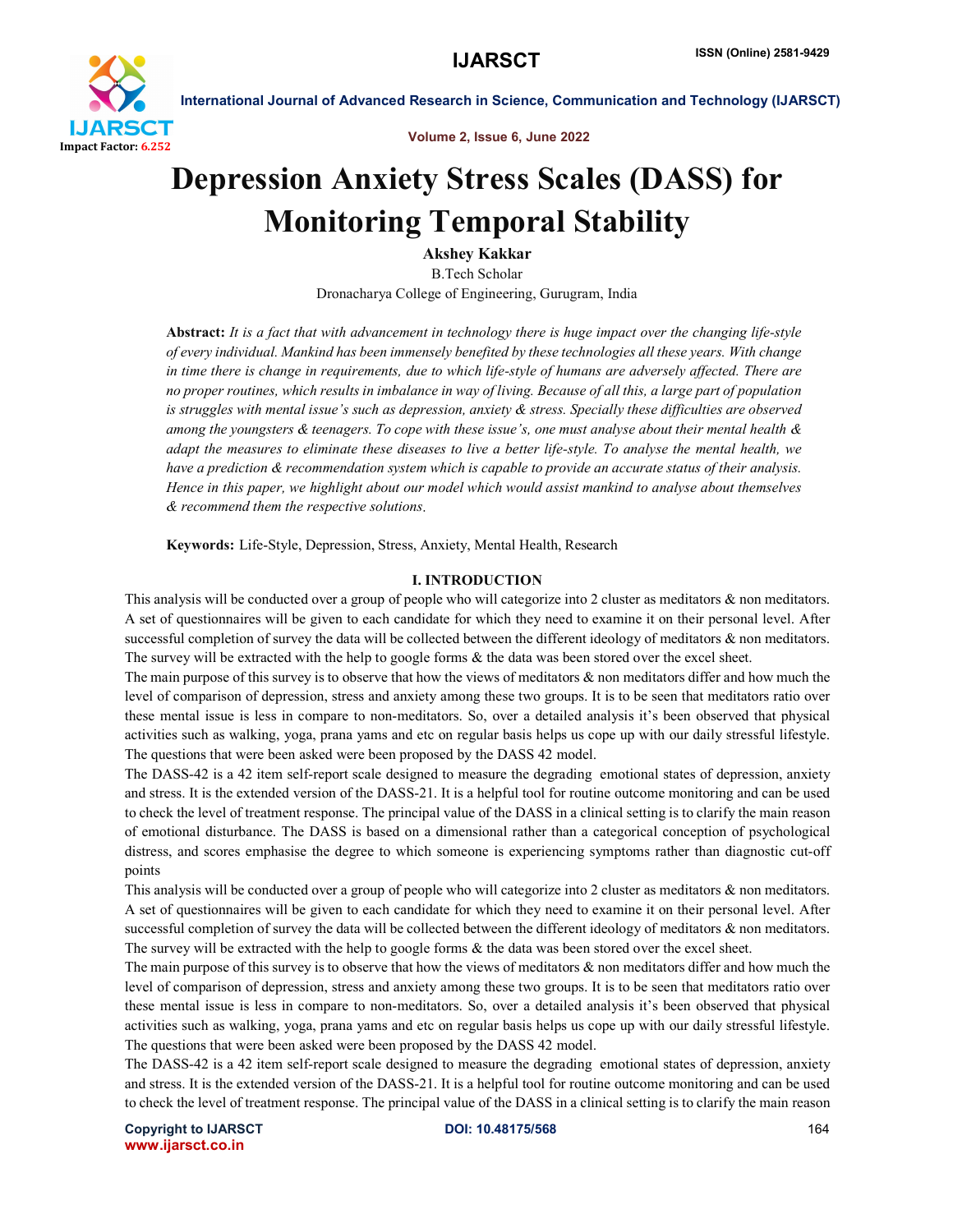

Volume 2, Issue 6, June 2022

# Depression Anxiety Stress Scales (DASS) for Monitoring Temporal Stability

Akshey Kakkar B.Tech Scholar Dronacharya College of Engineering, Gurugram, India

Abstract: *It is a fact that with advancement in technology there is huge impact over the changing life-style of every individual. Mankind has been immensely benefited by these technologies all these years. With change*  in time there is change in requirements, due to which life-style of humans are adversely affected. There are *no proper routines, which results in imbalance in way of living. Because of all this, a large part of population is struggles with mental issue's such as depression, anxiety & stress. Specially these difficulties are observed among the youngsters & teenagers. To cope with these issue's, one must analyse about their mental health & adapt the measures to eliminate these diseases to live a better life-style. To analyse the mental health, we have a prediction & recommendation system which is capable to provide an accurate status of their analysis. Hence in this paper, we highlight about our model which would assist mankind to analyse about themselves & recommend them the respective solutions*

Keywords: Life-Style, Depression, Stress, Anxiety, Mental Health, Research

#### I. INTRODUCTION

This analysis will be conducted over a group of people who will categorize into 2 cluster as meditators & non meditators. A set of questionnaires will be given to each candidate for which they need to examine it on their personal level. After successful completion of survey the data will be collected between the different ideology of meditators  $\&$  non meditators. The survey will be extracted with the help to google forms & the data was been stored over the excel sheet.

The main purpose of this survey is to observe that how the views of meditators & non meditators differ and how much the level of comparison of depression, stress and anxiety among these two groups. It is to be seen that meditators ratio over these mental issue is less in compare to non-meditators. So, over a detailed analysis it's been observed that physical activities such as walking, yoga, prana yams and etc on regular basis helps us cope up with our daily stressful lifestyle. The questions that were been asked were been proposed by the DASS 42 model.

The DASS-42 is a 42 item self-report scale designed to measure the degrading emotional states of depression, anxiety and stress. It is the extended version of the DASS-21. It is a helpful tool for routine outcome monitoring and can be used to check the level of treatment response. The principal value of the DASS in a clinical setting is to clarify the main reason of emotional disturbance. The DASS is based on a dimensional rather than a categorical conception of psychological distress, and scores emphasise the degree to which someone is experiencing symptoms rather than diagnostic cut-off points

This analysis will be conducted over a group of people who will categorize into 2 cluster as meditators & non meditators. A set of questionnaires will be given to each candidate for which they need to examine it on their personal level. After successful completion of survey the data will be collected between the different ideology of meditators  $\&$  non meditators. The survey will be extracted with the help to google forms & the data was been stored over the excel sheet.

The main purpose of this survey is to observe that how the views of meditators & non meditators differ and how much the level of comparison of depression, stress and anxiety among these two groups. It is to be seen that meditators ratio over these mental issue is less in compare to non-meditators. So, over a detailed analysis it's been observed that physical activities such as walking, yoga, prana yams and etc on regular basis helps us cope up with our daily stressful lifestyle. The questions that were been asked were been proposed by the DASS 42 model.

The DASS-42 is a 42 item self-report scale designed to measure the degrading emotional states of depression, anxiety and stress. It is the extended version of the DASS-21. It is a helpful tool for routine outcome monitoring and can be used to check the level of treatment response. The principal value of the DASS in a clinical setting is to clarify the main reason

Copyright to IJARSCT **DOI: 10.48175/568** 164 www.ijarsct.co.in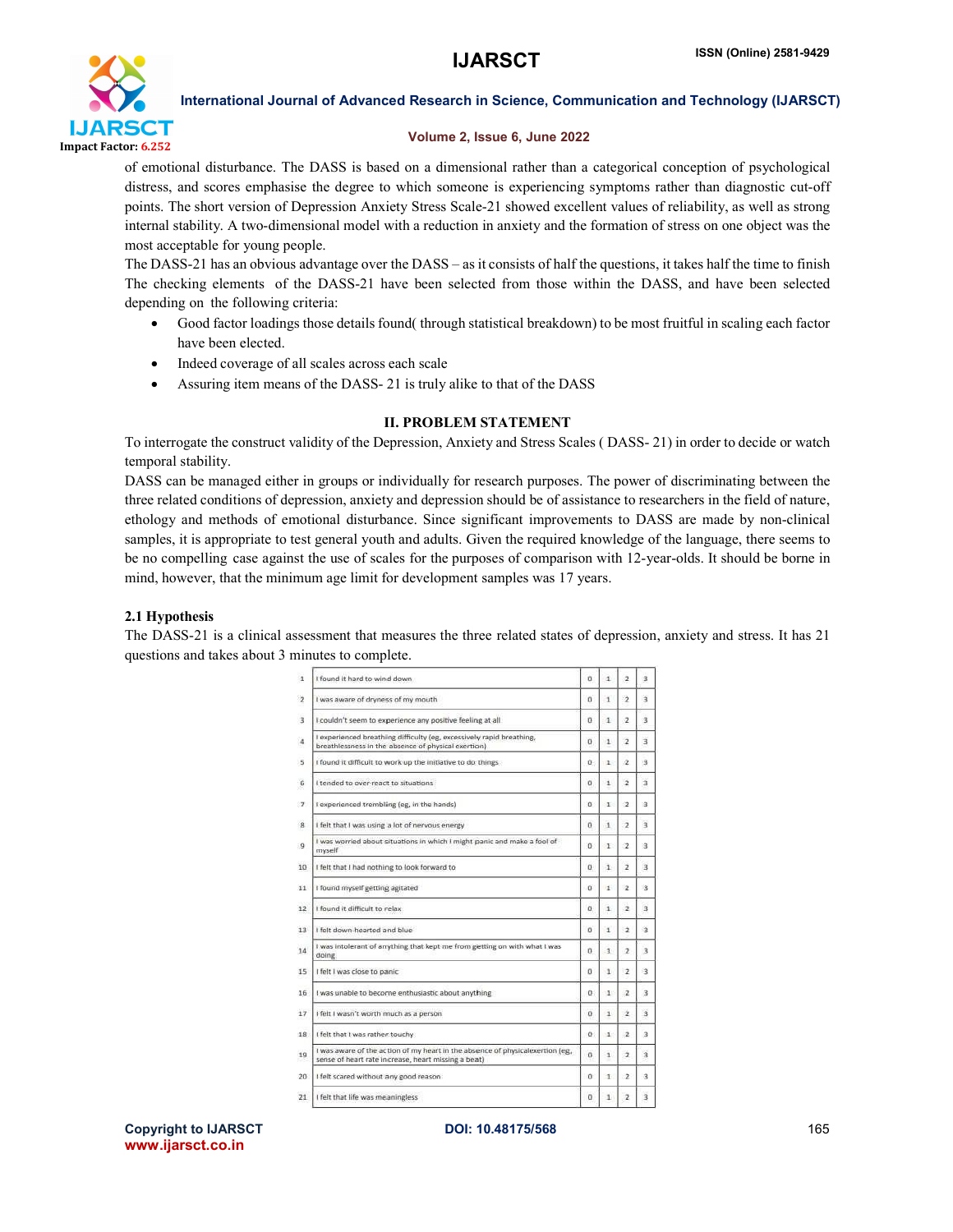

# Volume 2, Issue 6, June 2022

of emotional disturbance. The DASS is based on a dimensional rather than a categorical conception of psychological distress, and scores emphasise the degree to which someone is experiencing symptoms rather than diagnostic cut-off points. The short version of Depression Anxiety Stress Scale-21 showed excellent values of reliability, as well as strong internal stability. A two-dimensional model with a reduction in anxiety and the formation of stress on one object was the most acceptable for young people.

The DASS-21 has an obvious advantage over the DASS – as it consists of half the questions, it takes half the time to finish The checking elements of the DASS-21 have been selected from those within the DASS, and have been selected depending on the following criteria:

- Good factor loadings those details found( through statistical breakdown) to be most fruitful in scaling each factor have been elected.
- Indeed coverage of all scales across each scale
- Assuring item means of the DASS- 21 is truly alike to that of the DASS

# II. PROBLEM STATEMENT

To interrogate the construct validity of the Depression, Anxiety and Stress Scales ( DASS- 21) in order to decide or watch temporal stability.

DASS can be managed either in groups or individually for research purposes. The power of discriminating between the three related conditions of depression, anxiety and depression should be of assistance to researchers in the field of nature, ethology and methods of emotional disturbance. Since significant improvements to DASS are made by non-clinical samples, it is appropriate to test general youth and adults. Given the required knowledge of the language, there seems to be no compelling case against the use of scales for the purposes of comparison with 12-year-olds. It should be borne in mind, however, that the minimum age limit for development samples was 17 years.

# 2.1 Hypothesis

The DASS-21 is a clinical assessment that measures the three related states of depression, anxiety and stress. It has 21 questions and takes about 3 minutes to complete.

| 1 | I found it hard to wind down                                                                                                         | o        | $\mathbf{1}$ | $\overline{2}$           | 3                       |
|---|--------------------------------------------------------------------------------------------------------------------------------------|----------|--------------|--------------------------|-------------------------|
| 2 | I was aware of dryness of my mouth.                                                                                                  | n        | 1            | $\overline{\phantom{a}}$ | з                       |
|   | I couldn't seem to experience any positive feeling at all                                                                            | o        | $\mathbf{1}$ | $\overline{\mathbf{z}}$  | 3                       |
|   | I experienced breathing difficulty (eg, excessively rapid breathing,<br>breathlessness in the absence of physical exertion)          | 0        | 1            | $\overline{\phantom{a}}$ | з                       |
|   | I found it difficult to work up the initiative to do things                                                                          | ö.       | 1.           | 2                        | 湿                       |
|   | I tended to over-react to situations                                                                                                 | o        | 1            | $\overline{\mathbf{z}}$  | $\overline{\mathbf{a}}$ |
|   | I experienced trembling (eg, in the hands)                                                                                           | O.       | $\mathbb{I}$ | $\mathbf{2}$             | з                       |
|   | I felt that I was using a lot of nervous energy                                                                                      | n        | 1            | $\overline{\phantom{a}}$ | $\rightarrow$           |
|   | I was worried about situations in which I might panic and make a fool of<br>myself                                                   | 0        | I.           | $\mathfrak{D}$           | з                       |
|   | I felt that I had nothing to look forward to                                                                                         | o        | Ť.           | $\overline{\mathbf{z}}$  | $\overline{\mathbf{3}}$ |
|   | I found myself getting agitated                                                                                                      | n.       | ×.           | $\overline{2}$           | 3                       |
|   | I found it difficult to relax                                                                                                        | o        | Ť.           | 2                        | $\mathbf{a}$            |
|   | I felt down-hearted and blue                                                                                                         | n        | $\mathbf{1}$ | $\overline{2}$           | з                       |
|   | I was intolerant of anything that kept me from getting on with what I was<br>doing:                                                  | n        | $\mathbf{I}$ | $\overline{ }$           | 3                       |
|   | I felt I was close to panic                                                                                                          | o        | 1            | $\overline{z}$           | 淺                       |
|   | I was unable to become enthusiastic about anything                                                                                   | $\alpha$ | 11           | $\overline{a}$           | з                       |
|   | I felt I wasn't worth much as a person                                                                                               | o        | 1            | 2                        | 3                       |
|   | I felt that I was rather touchy                                                                                                      | $\alpha$ | 11           | $\overline{ }$           | з                       |
|   | I was aware of the action of my heart in the absence of physicalexertion (eg.<br>sense of heart rate increase, heart missing a beat) | o        | 1            | $\overline{z}$           | $\overline{\mathbf{3}}$ |
|   | I felt scared without any good reason                                                                                                | Ũ.       | Ŧ.           | $\overline{z}$           | a                       |
|   | I felt that life was meaningless                                                                                                     | o        | 1.           | $\overline{2}$           | 3                       |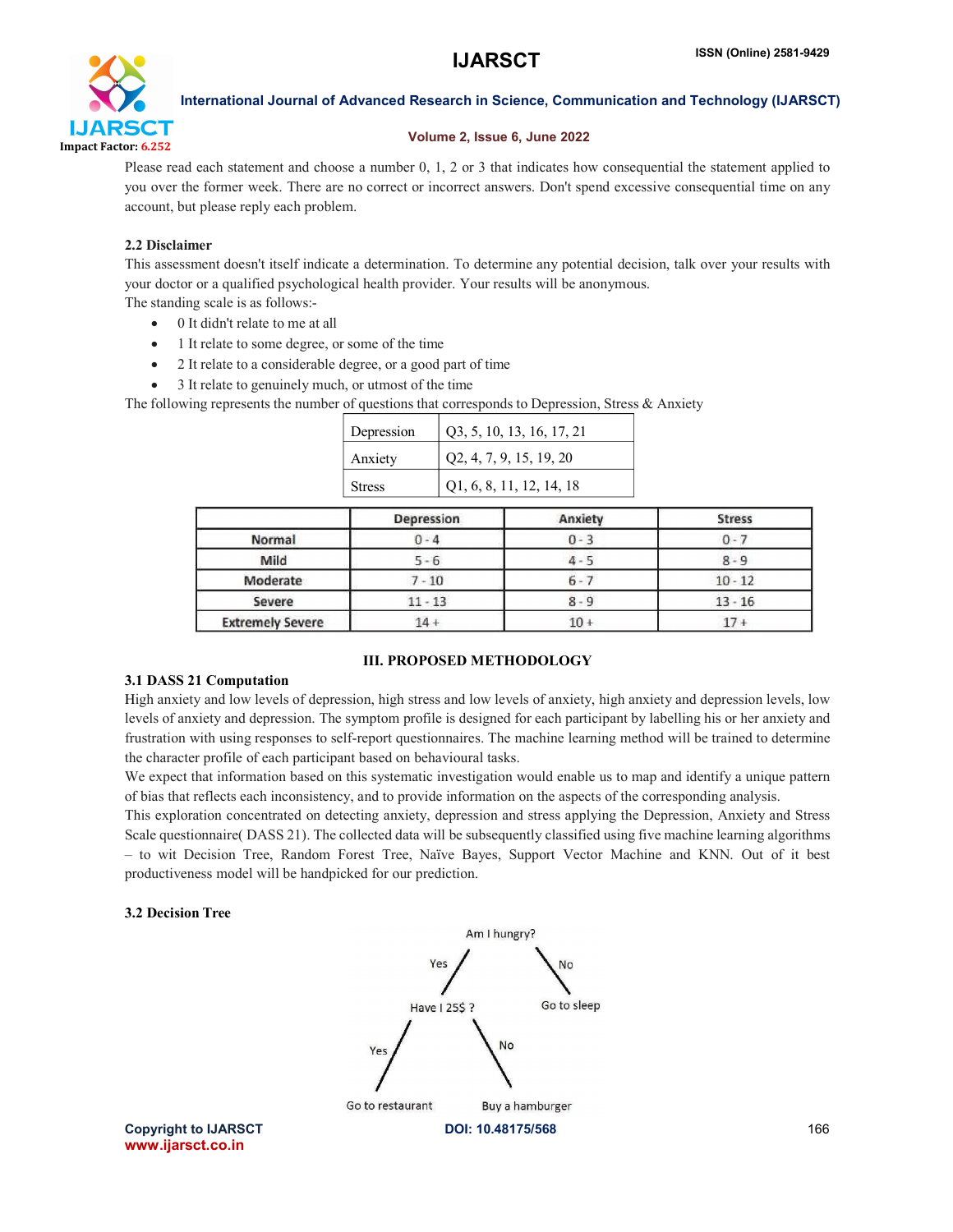

# Volume 2, Issue 6, June 2022

Please read each statement and choose a number 0, 1, 2 or 3 that indicates how consequential the statement applied to you over the former week. There are no correct or incorrect answers. Don't spend excessive consequential time on any account, but please reply each problem.

# 2.2 Disclaimer

This assessment doesn't itself indicate a determination. To determine any potential decision, talk over your results with your doctor or a qualified psychological health provider. Your results will be anonymous.

The standing scale is as follows:-

- 0 It didn't relate to me at all
- 1 It relate to some degree, or some of the time
- 2 It relate to a considerable degree, or a good part of time
- 3 It relate to genuinely much, or utmost of the time

The following represents the number of questions that corresponds to Depression, Stress & Anxiety

| Depression | Q3, 5, 10, 13, 16, 17, 21       |
|------------|---------------------------------|
| Anxiety    | $\vert$ Q2, 4, 7, 9, 15, 19, 20 |
| Stress     | $ $ Q1, 6, 8, 11, 12, 14, 18    |

|                         | Depression | Anxiety | <b>Stress</b> |
|-------------------------|------------|---------|---------------|
| Normal                  | $0 - 4$    | $0 - 3$ | $0 - 7$       |
| Mild                    | $5 - 6$    | 4 - 5   | $8 - 9$       |
| Moderate                | $7 - 10$   | $6 - 7$ | $10 - 12$     |
| Severe                  | $11 - 13$  | $8 - 9$ | $13 - 16$     |
| <b>Extremely Severe</b> | $14 +$     | $10+$   |               |

# III. PROPOSED METHODOLOGY

### 3.1 DASS 21 Computation

High anxiety and low levels of depression, high stress and low levels of anxiety, high anxiety and depression levels, low levels of anxiety and depression. The symptom profile is designed for each participant by labelling his or her anxiety and frustration with using responses to self-report questionnaires. The machine learning method will be trained to determine the character profile of each participant based on behavioural tasks.

We expect that information based on this systematic investigation would enable us to map and identify a unique pattern of bias that reflects each inconsistency, and to provide information on the aspects of the corresponding analysis.

This exploration concentrated on detecting anxiety, depression and stress applying the Depression, Anxiety and Stress Scale questionnaire( DASS 21). The collected data will be subsequently classified using five machine learning algorithms – to wit Decision Tree, Random Forest Tree, Naïve Bayes, Support Vector Machine and KNN. Out of it best productiveness model will be handpicked for our prediction.

# 3.2 Decision Tree



www.ijarsct.co.in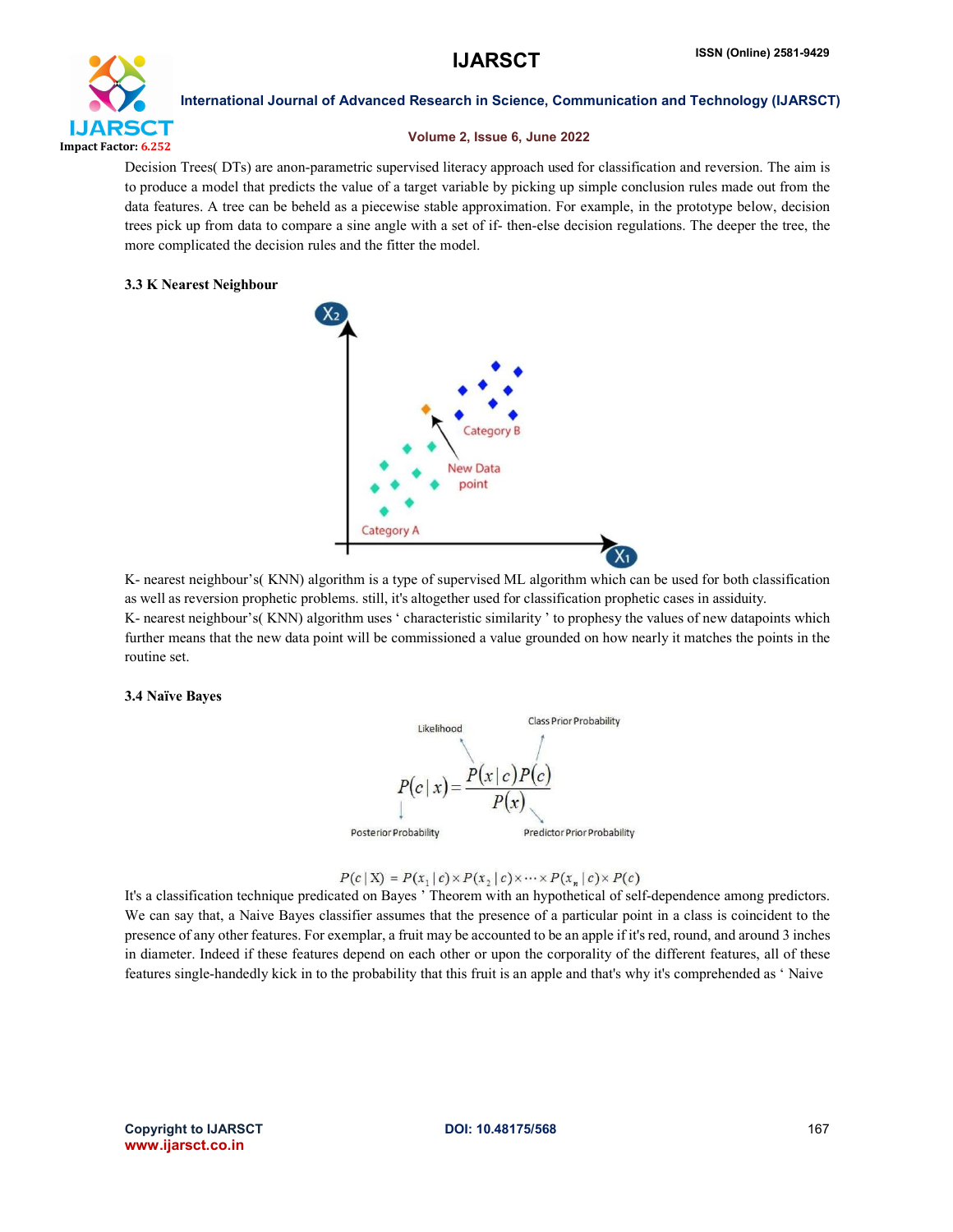

#### Volume 2, Issue 6, June 2022

Decision Trees( DTs) are anon-parametric supervised literacy approach used for classification and reversion. The aim is to produce a model that predicts the value of a target variable by picking up simple conclusion rules made out from the data features. A tree can be beheld as a piecewise stable approximation. For example, in the prototype below, decision trees pick up from data to compare a sine angle with a set of if- then-else decision regulations. The deeper the tree, the more complicated the decision rules and the fitter the model.

# 3.3 K Nearest Neighbour



K- nearest neighbour's( KNN) algorithm is a type of supervised ML algorithm which can be used for both classification as well as reversion prophetic problems. still, it's altogether used for classification prophetic cases in assiduity. K- nearest neighbour's( KNN) algorithm uses ' characteristic similarity ' to prophesy the values of new datapoints which further means that the new data point will be commissioned a value grounded on how nearly it matches the points in the routine set.

### 3.4 Naïve Bayes



 $P(c | X) = P(x_1 | c) \times P(x_2 | c) \times \cdots \times P(x_n | c) \times P(c)$ 

It's a classification technique predicated on Bayes ' Theorem with an hypothetical of self-dependence among predictors. We can say that, a Naive Bayes classifier assumes that the presence of a particular point in a class is coincident to the presence of any other features. For exemplar, a fruit may be accounted to be an apple if it'sred, round, and around 3 inches in diameter. Indeed if these features depend on each other or upon the corporality of the different features, all of these features single-handedly kick in to the probability that this fruit is an apple and that's why it's comprehended as ' Naive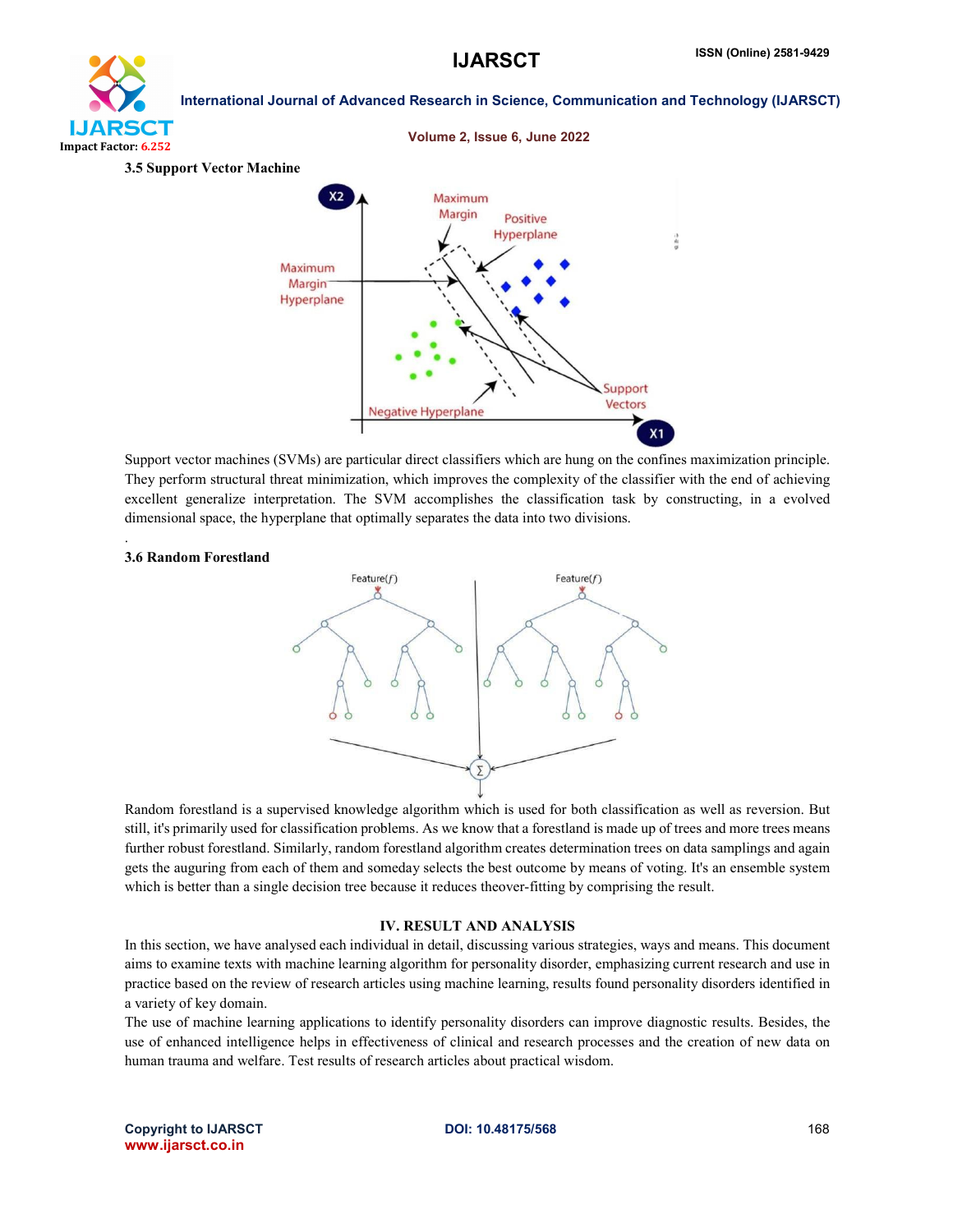



Support vector machines (SVMs) are particular direct classifiers which are hung on the confines maximization principle. They perform structural threat minimization, which improves the complexity of the classifier with the end of achieving excellent generalize interpretation. The SVM accomplishes the classification task by constructing, in a evolved dimensional space, the hyperplane that optimally separates the data into two divisions.

#### 3.6 Random Forestland

.



Random forestland is a supervised knowledge algorithm which is used for both classification as well as reversion. But still, it's primarily used for classification problems. As we know that a forestland is made up of trees and more trees means further robust forestland. Similarly, random forestland algorithm creates determination trees on data samplings and again gets the auguring from each of them and someday selects the best outcome by means of voting. It's an ensemble system which is better than a single decision tree because it reduces theover-fitting by comprising the result.

### IV. RESULT AND ANALYSIS

In this section, we have analysed each individual in detail, discussing various strategies, ways and means. This document aims to examine texts with machine learning algorithm for personality disorder, emphasizing current research and use in practice based on the review of research articles using machine learning, results found personality disorders identified in a variety of key domain.

The use of machine learning applications to identify personality disorders can improve diagnostic results. Besides, the use of enhanced intelligence helps in effectiveness of clinical and research processes and the creation of new data on human trauma and welfare. Test results of research articles about practical wisdom.